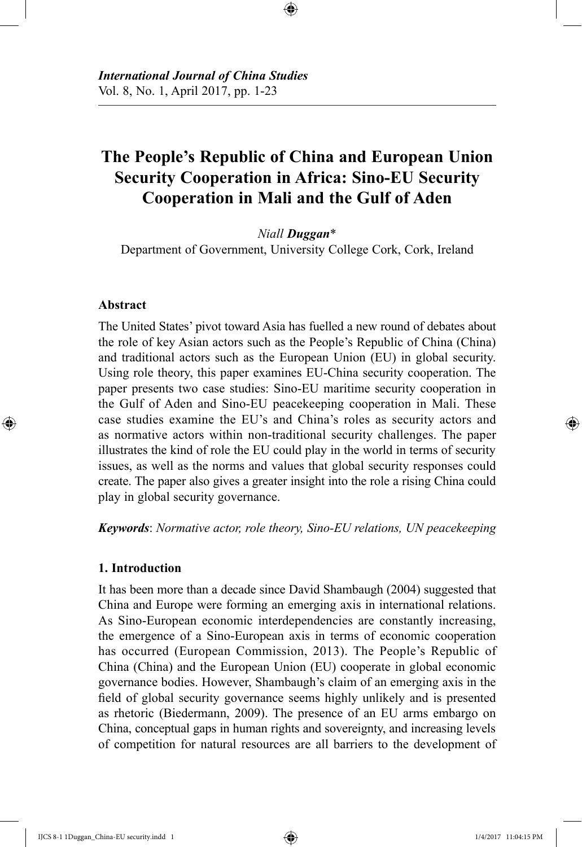# **The People's Republic of China and European Union Security Cooperation in Africa: Sino-EU Security Cooperation in Mali and the Gulf of Aden**

⊕

*Niall Duggan*\* Department of Government, University College Cork, Cork, Ireland

## **Abstract**

⊕

The United States' pivot toward Asia has fuelled a new round of debates about the role of key Asian actors such as the People's Republic of China (China) and traditional actors such as the European Union (EU) in global security. Using role theory, this paper examines EU-China security cooperation. The paper presents two case studies: Sino-EU maritime security cooperation in the Gulf of Aden and Sino-EU peacekeeping cooperation in Mali. These case studies examine the EU's and China's roles as security actors and as normative actors within non-traditional security challenges. The paper illustrates the kind of role the EU could play in the world in terms of security issues, as well as the norms and values that global security responses could create. The paper also gives a greater insight into the role a rising China could play in global security governance.

*Keywords*: *Normative actor, role theory, Sino-EU relations, UN peacekeeping*

# **1. Introduction**

It has been more than a decade since David Shambaugh (2004) suggested that China and Europe were forming an emerging axis in international relations. As Sino-European economic interdependencies are constantly increasing, the emergence of a Sino-European axis in terms of economic cooperation has occurred (European Commission, 2013). The People's Republic of China (China) and the European Union (EU) cooperate in global economic governance bodies. However, Shambaugh's claim of an emerging axis in the field of global security governance seems highly unlikely and is presented as rhetoric (Biedermann, 2009). The presence of an EU arms embargo on China, conceptual gaps in human rights and sovereignty, and increasing levels of competition for natural resources are all barriers to the development of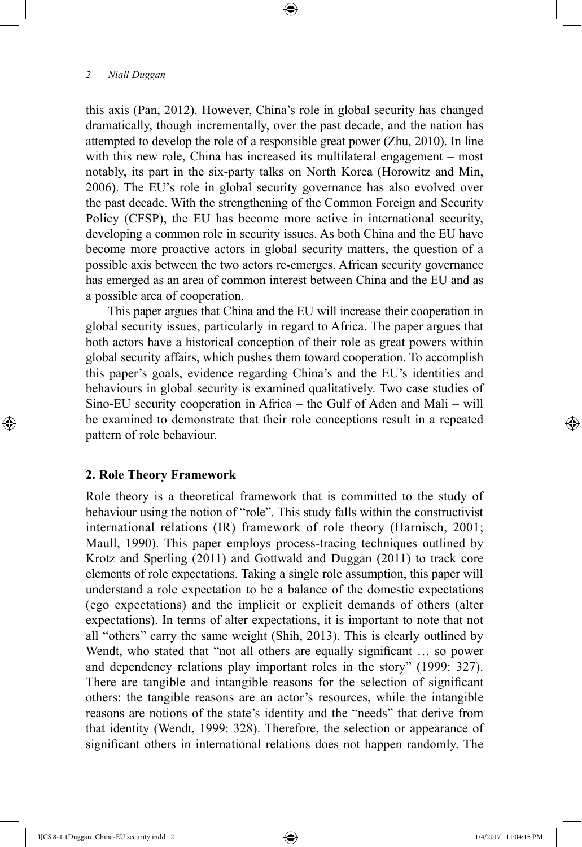this axis (Pan, 2012). However, China's role in global security has changed dramatically, though incrementally, over the past decade, and the nation has attempted to develop the role of a responsible great power (Zhu, 2010). In line with this new role, China has increased its multilateral engagement – most notably, its part in the six-party talks on North Korea (Horowitz and Min, 2006). The EU's role in global security governance has also evolved over the past decade. With the strengthening of the Common Foreign and Security Policy (CFSP), the EU has become more active in international security, developing a common role in security issues. As both China and the EU have become more proactive actors in global security matters, the question of a possible axis between the two actors re-emerges. African security governance has emerged as an area of common interest between China and the EU and as a possible area of cooperation.

⊕

This paper argues that China and the EU will increase their cooperation in global security issues, particularly in regard to Africa. The paper argues that both actors have a historical conception of their role as great powers within global security affairs, which pushes them toward cooperation. To accomplish this paper's goals, evidence regarding China's and the EU's identities and behaviours in global security is examined qualitatively. Two case studies of Sino-EU security cooperation in Africa – the Gulf of Aden and Mali – will be examined to demonstrate that their role conceptions result in a repeated pattern of role behaviour.

## **2. Role Theory Framework**

⊕

Role theory is a theoretical framework that is committed to the study of behaviour using the notion of "role". This study falls within the constructivist international relations (IR) framework of role theory (Harnisch, 2001; Maull, 1990). This paper employs process-tracing techniques outlined by Krotz and Sperling (2011) and Gottwald and Duggan (2011) to track core elements of role expectations. Taking a single role assumption, this paper will understand a role expectation to be a balance of the domestic expectations (ego expectations) and the implicit or explicit demands of others (alter expectations). In terms of alter expectations, it is important to note that not all "others" carry the same weight (Shih, 2013). This is clearly outlined by Wendt, who stated that "not all others are equally significant ... so power and dependency relations play important roles in the story" (1999: 327). There are tangible and intangible reasons for the selection of significant others: the tangible reasons are an actor's resources, while the intangible reasons are notions of the state's identity and the "needs" that derive from that identity (Wendt, 1999: 328). Therefore, the selection or appearance of significant others in international relations does not happen randomly. The

↔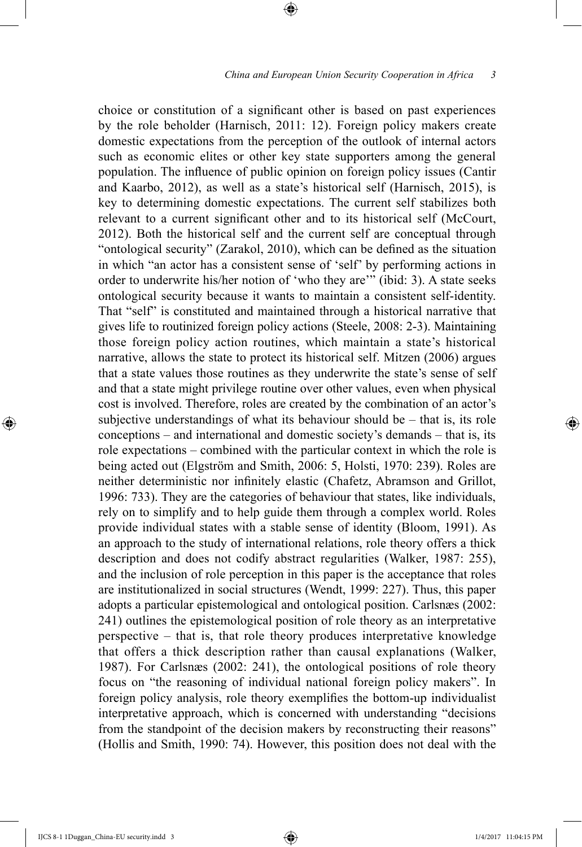choice or constitution of a significant other is based on past experiences by the role beholder (Harnisch, 2011: 12). Foreign policy makers create domestic expectations from the perception of the outlook of internal actors such as economic elites or other key state supporters among the general population. The influence of public opinion on foreign policy issues (Cantir and Kaarbo, 2012), as well as a state's historical self (Harnisch, 2015), is key to determining domestic expectations. The current self stabilizes both relevant to a current significant other and to its historical self (McCourt, 2012). Both the historical self and the current self are conceptual through "ontological security" (Zarakol, 2010), which can be defined as the situation in which "an actor has a consistent sense of 'self' by performing actions in order to underwrite his/her notion of 'who they are'" (ibid: 3). A state seeks ontological security because it wants to maintain a consistent self-identity. That "self" is constituted and maintained through a historical narrative that gives life to routinized foreign policy actions (Steele, 2008: 2-3). Maintaining those foreign policy action routines, which maintain a state's historical narrative, allows the state to protect its historical self. Mitzen (2006) argues that a state values those routines as they underwrite the state's sense of self and that a state might privilege routine over other values, even when physical cost is involved. Therefore, roles are created by the combination of an actor's subjective understandings of what its behaviour should be – that is, its role conceptions – and international and domestic society's demands – that is, its role expectations – combined with the particular context in which the role is being acted out (Elgström and Smith, 2006: 5, Holsti, 1970: 239). Roles are neither deterministic nor infinitely elastic (Chafetz, Abramson and Grillot, 1996: 733). They are the categories of behaviour that states, like individuals, rely on to simplify and to help guide them through a complex world. Roles provide individual states with a stable sense of identity (Bloom, 1991). As an approach to the study of international relations, role theory offers a thick description and does not codify abstract regularities (Walker, 1987: 255), and the inclusion of role perception in this paper is the acceptance that roles are institutionalized in social structures (Wendt, 1999: 227). Thus, this paper adopts a particular epistemological and ontological position. Carlsnæs (2002: 241) outlines the epistemological position of role theory as an interpretative perspective – that is, that role theory produces interpretative knowledge that offers a thick description rather than causal explanations (Walker, 1987). For Carlsnæs (2002: 241), the ontological positions of role theory focus on "the reasoning of individual national foreign policy makers". In foreign policy analysis, role theory exemplifies the bottom-up individualist interpretative approach, which is concerned with understanding "decisions from the standpoint of the decision makers by reconstructing their reasons" (Hollis and Smith, 1990: 74). However, this position does not deal with the

⊕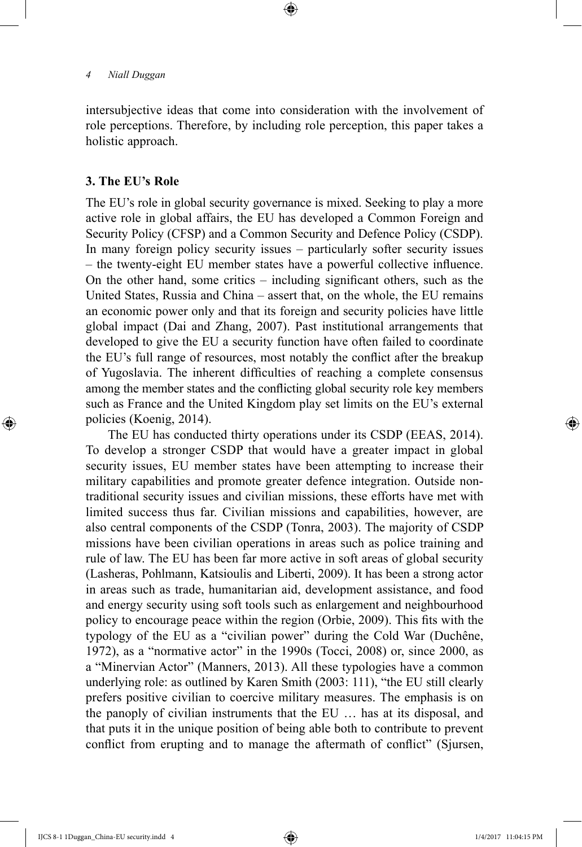intersubjective ideas that come into consideration with the involvement of role perceptions. Therefore, by including role perception, this paper takes a holistic approach.

⊕

# **3. The EU's Role**

⊕

The EU's role in global security governance is mixed. Seeking to play a more active role in global affairs, the EU has developed a Common Foreign and Security Policy (CFSP) and a Common Security and Defence Policy (CSDP). In many foreign policy security issues – particularly softer security issues – the twenty-eight EU member states have a powerful collective influence. On the other hand, some critics – including significant others, such as the United States, Russia and China – assert that, on the whole, the EU remains an economic power only and that its foreign and security policies have little global impact (Dai and Zhang, 2007). Past institutional arrangements that developed to give the EU a security function have often failed to coordinate the EU's full range of resources, most notably the conflict after the breakup of Yugoslavia. The inherent difficulties of reaching a complete consensus among the member states and the conflicting global security role key members such as France and the United Kingdom play set limits on the EU's external policies (Koenig, 2014).

The EU has conducted thirty operations under its CSDP (EEAS, 2014). To develop a stronger CSDP that would have a greater impact in global security issues, EU member states have been attempting to increase their military capabilities and promote greater defence integration. Outside nontraditional security issues and civilian missions, these efforts have met with limited success thus far. Civilian missions and capabilities, however, are also central components of the CSDP (Tonra, 2003). The majority of CSDP missions have been civilian operations in areas such as police training and rule of law. The EU has been far more active in soft areas of global security (Lasheras, Pohlmann, Katsioulis and Liberti, 2009). It has been a strong actor in areas such as trade, humanitarian aid, development assistance, and food and energy security using soft tools such as enlargement and neighbourhood policy to encourage peace within the region (Orbie, 2009). This fits with the typology of the EU as a "civilian power" during the Cold War (Duchêne, 1972), as a "normative actor" in the 1990s (Tocci, 2008) or, since 2000, as a "Minervian Actor" (Manners, 2013). All these typologies have a common underlying role: as outlined by Karen Smith (2003: 111), "the EU still clearly prefers positive civilian to coercive military measures. The emphasis is on the panoply of civilian instruments that the EU … has at its disposal, and that puts it in the unique position of being able both to contribute to prevent conflict from erupting and to manage the aftermath of conflict" (Sjursen,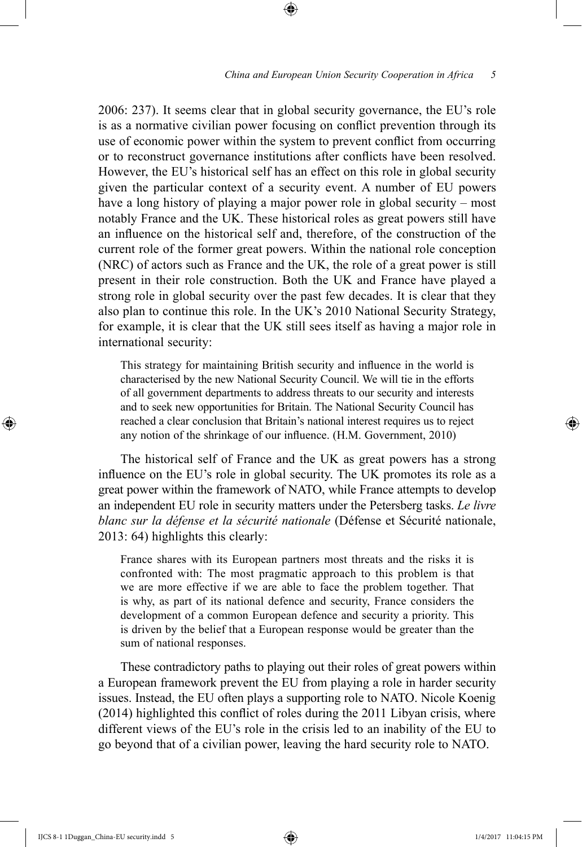## *China and European Union Security Cooperation in Africa 5*

2006: 237). It seems clear that in global security governance, the EU's role is as a normative civilian power focusing on conflict prevention through its use of economic power within the system to prevent conflict from occurring or to reconstruct governance institutions after conflicts have been resolved. However, the EU's historical self has an effect on this role in global security given the particular context of a security event. A number of EU powers have a long history of playing a major power role in global security – most notably France and the UK. These historical roles as great powers still have an influence on the historical self and, therefore, of the construction of the current role of the former great powers. Within the national role conception (NRC) of actors such as France and the UK, the role of a great power is still present in their role construction. Both the UK and France have played a strong role in global security over the past few decades. It is clear that they also plan to continue this role. In the UK's 2010 National Security Strategy, for example, it is clear that the UK still sees itself as having a major role in international security:

⊕

This strategy for maintaining British security and influence in the world is characterised by the new National Security Council. We will tie in the efforts of all government departments to address threats to our security and interests and to seek new opportunities for Britain. The National Security Council has reached a clear conclusion that Britain's national interest requires us to reject any notion of the shrinkage of our influence. (H.M. Government, 2010)

The historical self of France and the UK as great powers has a strong influence on the EU's role in global security. The UK promotes its role as a great power within the framework of NATO, while France attempts to develop an independent EU role in security matters under the Petersberg tasks. *Le livre blanc sur la défense et la sécurité nationale* (Défense et Sécurité nationale, 2013: 64) highlights this clearly:

France shares with its European partners most threats and the risks it is confronted with: The most pragmatic approach to this problem is that we are more effective if we are able to face the problem together. That is why, as part of its national defence and security, France considers the development of a common European defence and security a priority. This is driven by the belief that a European response would be greater than the sum of national responses.

These contradictory paths to playing out their roles of great powers within a European framework prevent the EU from playing a role in harder security issues. Instead, the EU often plays a supporting role to NATO. Nicole Koenig (2014) highlighted this conflict of roles during the 2011 Libyan crisis, where different views of the EU's role in the crisis led to an inability of the EU to go beyond that of a civilian power, leaving the hard security role to NATO.

IJCS 8-1 1Duggan\_China-EU security.indd 5 1/4/2017 11:04:15 PM

⊕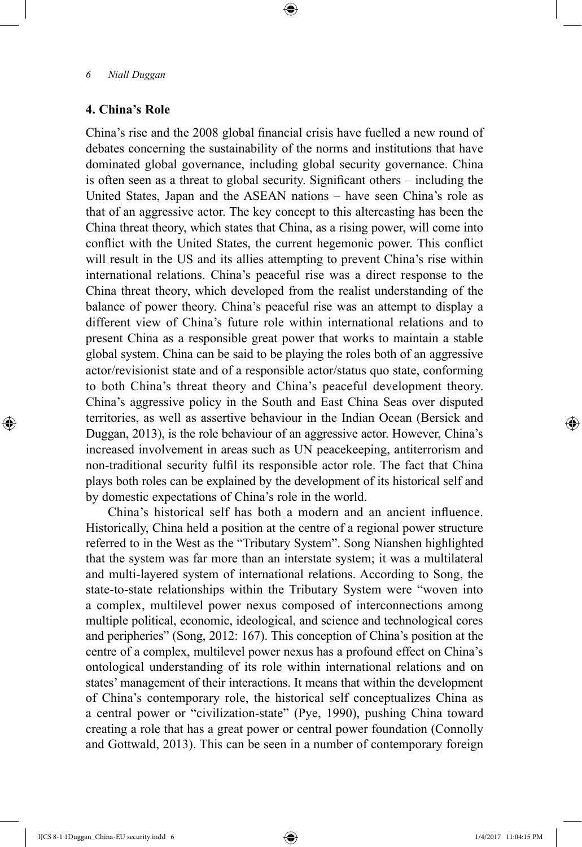# **4. China's Role**

⊕

China's rise and the 2008 global financial crisis have fuelled a new round of debates concerning the sustainability of the norms and institutions that have dominated global governance, including global security governance. China is often seen as a threat to global security. Significant others – including the United States, Japan and the ASEAN nations – have seen China's role as that of an aggressive actor. The key concept to this altercasting has been the China threat theory, which states that China, as a rising power, will come into conflict with the United States, the current hegemonic power. This conflict will result in the US and its allies attempting to prevent China's rise within international relations. China's peaceful rise was a direct response to the China threat theory, which developed from the realist understanding of the balance of power theory. China's peaceful rise was an attempt to display a different view of China's future role within international relations and to present China as a responsible great power that works to maintain a stable global system. China can be said to be playing the roles both of an aggressive actor/revisionist state and of a responsible actor/status quo state, conforming to both China's threat theory and China's peaceful development theory. China's aggressive policy in the South and East China Seas over disputed territories, as well as assertive behaviour in the Indian Ocean (Bersick and Duggan, 2013), is the role behaviour of an aggressive actor. However, China's increased involvement in areas such as UN peacekeeping, antiterrorism and non-traditional security fulfil its responsible actor role. The fact that China plays both roles can be explained by the development of its historical self and by domestic expectations of China's role in the world.

⊕

China's historical self has both a modern and an ancient influence. Historically, China held a position at the centre of a regional power structure referred to in the West as the "Tributary System". Song Nianshen highlighted that the system was far more than an interstate system; it was a multilateral and multi-layered system of international relations. According to Song, the state-to-state relationships within the Tributary System were "woven into a complex, multilevel power nexus composed of interconnections among multiple political, economic, ideological, and science and technological cores and peripheries" (Song, 2012: 167). This conception of China's position at the centre of a complex, multilevel power nexus has a profound effect on China's ontological understanding of its role within international relations and on states' management of their interactions. It means that within the development of China's contemporary role, the historical self conceptualizes China as a central power or "civilization-state" (Pye, 1990), pushing China toward creating a role that has a great power or central power foundation (Connolly and Gottwald, 2013). This can be seen in a number of contemporary foreign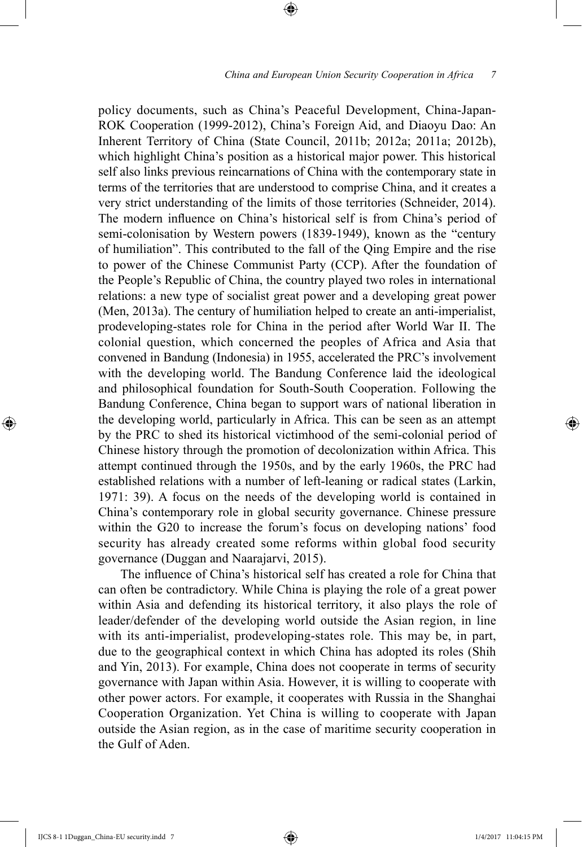policy documents, such as China's Peaceful Development, China-Japan-ROK Cooperation (1999-2012), China's Foreign Aid, and Diaoyu Dao: An Inherent Territory of China (State Council, 2011b; 2012a; 2011a; 2012b), which highlight China's position as a historical major power. This historical self also links previous reincarnations of China with the contemporary state in terms of the territories that are understood to comprise China, and it creates a very strict understanding of the limits of those territories (Schneider, 2014). The modern influence on China's historical self is from China's period of semi-colonisation by Western powers (1839-1949), known as the "century of humiliation". This contributed to the fall of the Qing Empire and the rise to power of the Chinese Communist Party (CCP). After the foundation of the People's Republic of China, the country played two roles in international relations: a new type of socialist great power and a developing great power (Men, 2013a). The century of humiliation helped to create an anti-imperialist, prodeveloping-states role for China in the period after World War II. The colonial question, which concerned the peoples of Africa and Asia that convened in Bandung (Indonesia) in 1955, accelerated the PRC's involvement with the developing world. The Bandung Conference laid the ideological and philosophical foundation for South-South Cooperation. Following the Bandung Conference, China began to support wars of national liberation in the developing world, particularly in Africa. This can be seen as an attempt by the PRC to shed its historical victimhood of the semi-colonial period of Chinese history through the promotion of decolonization within Africa. This attempt continued through the 1950s, and by the early 1960s, the PRC had established relations with a number of left-leaning or radical states (Larkin, 1971: 39). A focus on the needs of the developing world is contained in China's contemporary role in global security governance. Chinese pressure within the G20 to increase the forum's focus on developing nations' food security has already created some reforms within global food security governance (Duggan and Naarajarvi, 2015).

⊕

The influence of China's historical self has created a role for China that can often be contradictory. While China is playing the role of a great power within Asia and defending its historical territory, it also plays the role of leader/defender of the developing world outside the Asian region, in line with its anti-imperialist, prodeveloping-states role. This may be, in part, due to the geographical context in which China has adopted its roles (Shih and Yin, 2013). For example, China does not cooperate in terms of security governance with Japan within Asia. However, it is willing to cooperate with other power actors. For example, it cooperates with Russia in the Shanghai Cooperation Organization. Yet China is willing to cooperate with Japan outside the Asian region, as in the case of maritime security cooperation in the Gulf of Aden.

IJCS 8-1 1Duggan\_China-EU security.indd 7 1/4/2017 11:04:15 PM

⊕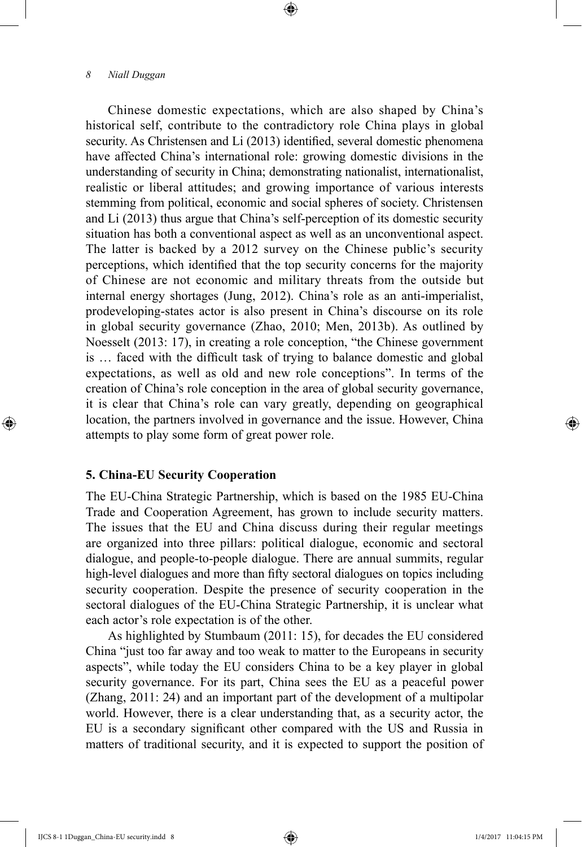Chinese domestic expectations, which are also shaped by China's historical self, contribute to the contradictory role China plays in global security. As Christensen and Li (2013) identified, several domestic phenomena have affected China's international role: growing domestic divisions in the understanding of security in China; demonstrating nationalist, internationalist, realistic or liberal attitudes; and growing importance of various interests stemming from political, economic and social spheres of society. Christensen and Li (2013) thus argue that China's self-perception of its domestic security situation has both a conventional aspect as well as an unconventional aspect. The latter is backed by a 2012 survey on the Chinese public's security perceptions, which identified that the top security concerns for the majority of Chinese are not economic and military threats from the outside but internal energy shortages (Jung, 2012). China's role as an anti-imperialist, prodeveloping-states actor is also present in China's discourse on its role in global security governance (Zhao, 2010; Men, 2013b). As outlined by Noesselt (2013: 17), in creating a role conception, "the Chinese government is … faced with the difficult task of trying to balance domestic and global expectations, as well as old and new role conceptions". In terms of the creation of China's role conception in the area of global security governance, it is clear that China's role can vary greatly, depending on geographical location, the partners involved in governance and the issue. However, China attempts to play some form of great power role.

⊕

## **5. China-EU Security Cooperation**

The EU-China Strategic Partnership, which is based on the 1985 EU-China Trade and Cooperation Agreement, has grown to include security matters. The issues that the EU and China discuss during their regular meetings are organized into three pillars: political dialogue, economic and sectoral dialogue, and people-to-people dialogue. There are annual summits, regular high-level dialogues and more than fifty sectoral dialogues on topics including security cooperation. Despite the presence of security cooperation in the sectoral dialogues of the EU-China Strategic Partnership, it is unclear what each actor's role expectation is of the other.

As highlighted by Stumbaum (2011: 15), for decades the EU considered China "just too far away and too weak to matter to the Europeans in security aspects", while today the EU considers China to be a key player in global security governance. For its part, China sees the EU as a peaceful power (Zhang, 2011: 24) and an important part of the development of a multipolar world. However, there is a clear understanding that, as a security actor, the EU is a secondary significant other compared with the US and Russia in matters of traditional security, and it is expected to support the position of

IJCS 8-1 1Duggan\_China-EU security.indd 8 1/4/2017 11:04:15 PM

⊕

↔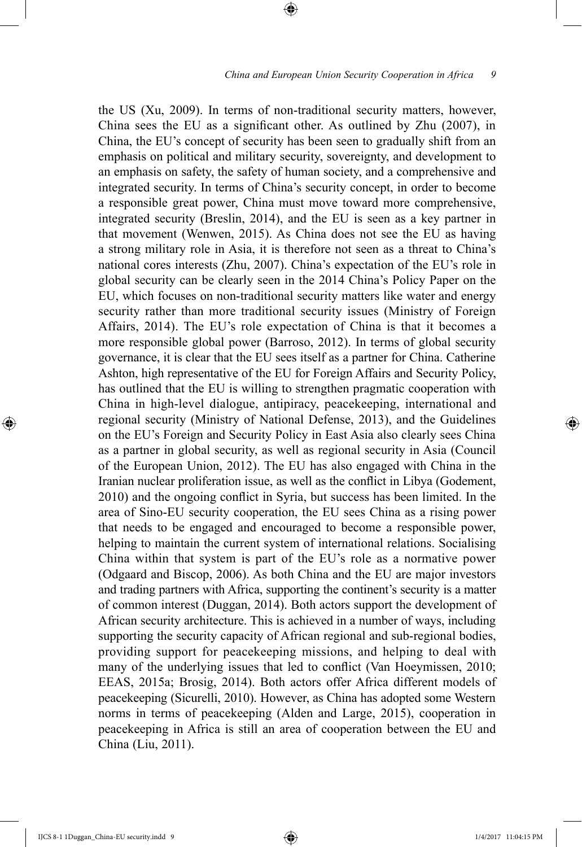the US (Xu, 2009). In terms of non-traditional security matters, however, China sees the EU as a significant other. As outlined by Zhu (2007), in China, the EU's concept of security has been seen to gradually shift from an emphasis on political and military security, sovereignty, and development to an emphasis on safety, the safety of human society, and a comprehensive and integrated security. In terms of China's security concept, in order to become a responsible great power, China must move toward more comprehensive, integrated security (Breslin, 2014), and the EU is seen as a key partner in that movement (Wenwen, 2015). As China does not see the EU as having a strong military role in Asia, it is therefore not seen as a threat to China's national cores interests (Zhu, 2007). China's expectation of the EU's role in global security can be clearly seen in the 2014 China's Policy Paper on the EU, which focuses on non-traditional security matters like water and energy security rather than more traditional security issues (Ministry of Foreign Affairs, 2014). The EU's role expectation of China is that it becomes a more responsible global power (Barroso, 2012). In terms of global security governance, it is clear that the EU sees itself as a partner for China. Catherine Ashton, high representative of the EU for Foreign Affairs and Security Policy, has outlined that the EU is willing to strengthen pragmatic cooperation with China in high-level dialogue, antipiracy, peacekeeping, international and regional security (Ministry of National Defense, 2013), and the Guidelines on the EU's Foreign and Security Policy in East Asia also clearly sees China as a partner in global security, as well as regional security in Asia (Council of the European Union, 2012). The EU has also engaged with China in the Iranian nuclear proliferation issue, as well as the conflict in Libya (Godement, 2010) and the ongoing conflict in Syria, but success has been limited. In the area of Sino-EU security cooperation, the EU sees China as a rising power that needs to be engaged and encouraged to become a responsible power, helping to maintain the current system of international relations. Socialising China within that system is part of the EU's role as a normative power (Odgaard and Biscop, 2006). As both China and the EU are major investors and trading partners with Africa, supporting the continent's security is a matter of common interest (Duggan, 2014). Both actors support the development of African security architecture. This is achieved in a number of ways, including supporting the security capacity of African regional and sub-regional bodies, providing support for peacekeeping missions, and helping to deal with many of the underlying issues that led to conflict (Van Hoeymissen, 2010; EEAS, 2015a; Brosig, 2014). Both actors offer Africa different models of peacekeeping (Sicurelli, 2010). However, as China has adopted some Western norms in terms of peacekeeping (Alden and Large, 2015), cooperation in peacekeeping in Africa is still an area of cooperation between the EU and China (Liu, 2011).

⊕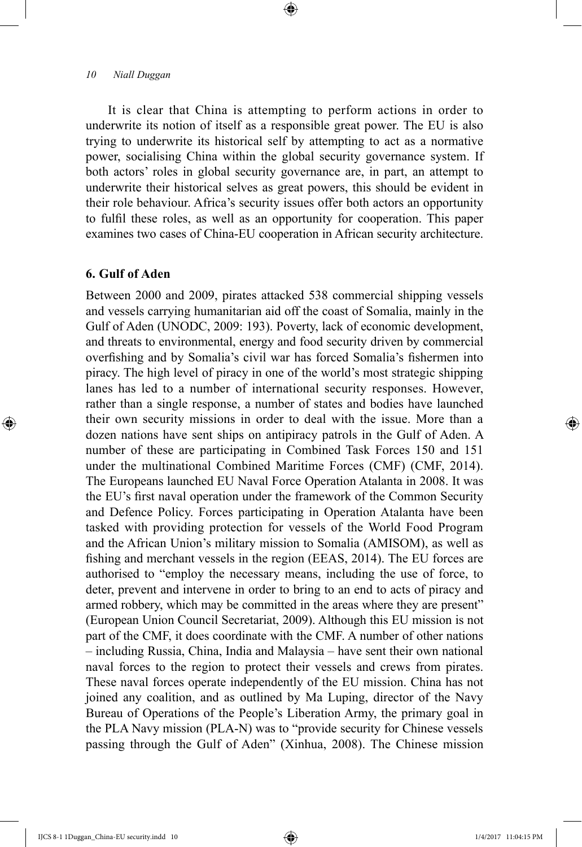It is clear that China is attempting to perform actions in order to underwrite its notion of itself as a responsible great power. The EU is also trying to underwrite its historical self by attempting to act as a normative power, socialising China within the global security governance system. If both actors' roles in global security governance are, in part, an attempt to underwrite their historical selves as great powers, this should be evident in their role behaviour. Africa's security issues offer both actors an opportunity to fulfil these roles, as well as an opportunity for cooperation. This paper examines two cases of China-EU cooperation in African security architecture.

⊕

## **6. Gulf of Aden**

⊕

Between 2000 and 2009, pirates attacked 538 commercial shipping vessels and vessels carrying humanitarian aid off the coast of Somalia, mainly in the Gulf of Aden (UNODC, 2009: 193). Poverty, lack of economic development, and threats to environmental, energy and food security driven by commercial overfishing and by Somalia's civil war has forced Somalia's fishermen into piracy. The high level of piracy in one of the world's most strategic shipping lanes has led to a number of international security responses. However, rather than a single response, a number of states and bodies have launched their own security missions in order to deal with the issue. More than a dozen nations have sent ships on antipiracy patrols in the Gulf of Aden. A number of these are participating in Combined Task Forces 150 and 151 under the multinational Combined Maritime Forces (CMF) (CMF, 2014). The Europeans launched EU Naval Force Operation Atalanta in 2008. It was the EU's first naval operation under the framework of the Common Security and Defence Policy. Forces participating in Operation Atalanta have been tasked with providing protection for vessels of the World Food Program and the African Union's military mission to Somalia (AMISOM), as well as fishing and merchant vessels in the region (EEAS, 2014). The EU forces are authorised to "employ the necessary means, including the use of force, to deter, prevent and intervene in order to bring to an end to acts of piracy and armed robbery, which may be committed in the areas where they are present" (European Union Council Secretariat, 2009). Although this EU mission is not part of the CMF, it does coordinate with the CMF. A number of other nations – including Russia, China, India and Malaysia – have sent their own national naval forces to the region to protect their vessels and crews from pirates. These naval forces operate independently of the EU mission. China has not joined any coalition, and as outlined by Ma Luping, director of the Navy Bureau of Operations of the People's Liberation Army, the primary goal in the PLA Navy mission (PLA-N) was to "provide security for Chinese vessels passing through the Gulf of Aden" (Xinhua, 2008). The Chinese mission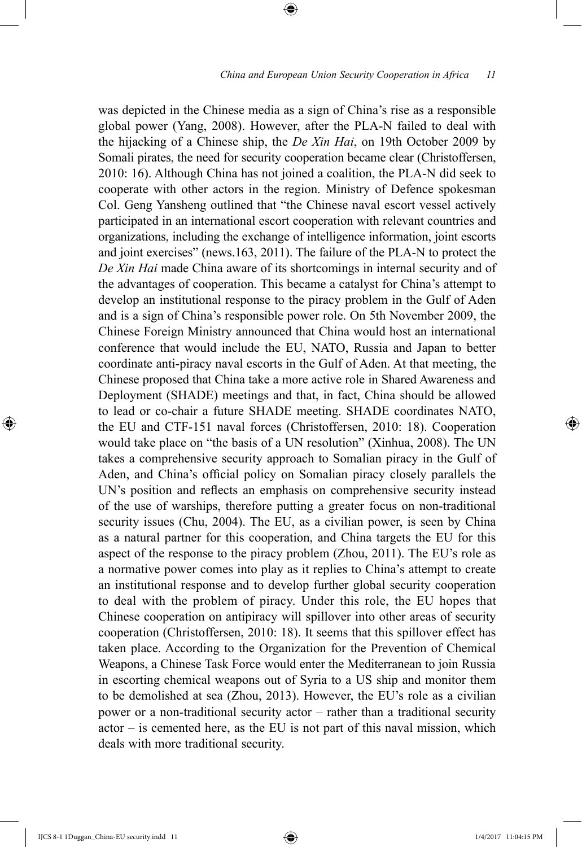was depicted in the Chinese media as a sign of China's rise as a responsible global power (Yang, 2008). However, after the PLA-N failed to deal with the hijacking of a Chinese ship, the *De Xin Hai*, on 19th October 2009 by Somali pirates, the need for security cooperation became clear (Christoffersen, 2010: 16). Although China has not joined a coalition, the PLA-N did seek to cooperate with other actors in the region. Ministry of Defence spokesman Col. Geng Yansheng outlined that "the Chinese naval escort vessel actively participated in an international escort cooperation with relevant countries and organizations, including the exchange of intelligence information, joint escorts and joint exercises" (news.163, 2011). The failure of the PLA-N to protect the *De Xin Hai* made China aware of its shortcomings in internal security and of the advantages of cooperation. This became a catalyst for China's attempt to develop an institutional response to the piracy problem in the Gulf of Aden and is a sign of China's responsible power role. On 5th November 2009, the Chinese Foreign Ministry announced that China would host an international conference that would include the EU, NATO, Russia and Japan to better coordinate anti-piracy naval escorts in the Gulf of Aden. At that meeting, the Chinese proposed that China take a more active role in Shared Awareness and Deployment (SHADE) meetings and that, in fact, China should be allowed to lead or co-chair a future SHADE meeting. SHADE coordinates NATO, the EU and CTF-151 naval forces (Christoffersen, 2010: 18). Cooperation would take place on "the basis of a UN resolution" (Xinhua, 2008). The UN takes a comprehensive security approach to Somalian piracy in the Gulf of Aden, and China's official policy on Somalian piracy closely parallels the UN's position and reflects an emphasis on comprehensive security instead of the use of warships, therefore putting a greater focus on non-traditional security issues (Chu, 2004). The EU, as a civilian power, is seen by China as a natural partner for this cooperation, and China targets the EU for this aspect of the response to the piracy problem (Zhou, 2011). The EU's role as a normative power comes into play as it replies to China's attempt to create an institutional response and to develop further global security cooperation to deal with the problem of piracy. Under this role, the EU hopes that Chinese cooperation on antipiracy will spillover into other areas of security cooperation (Christoffersen, 2010: 18). It seems that this spillover effect has taken place. According to the Organization for the Prevention of Chemical Weapons, a Chinese Task Force would enter the Mediterranean to join Russia in escorting chemical weapons out of Syria to a US ship and monitor them to be demolished at sea (Zhou, 2013). However, the EU's role as a civilian power or a non-traditional security actor – rather than a traditional security actor – is cemented here, as the EU is not part of this naval mission, which deals with more traditional security.

⊕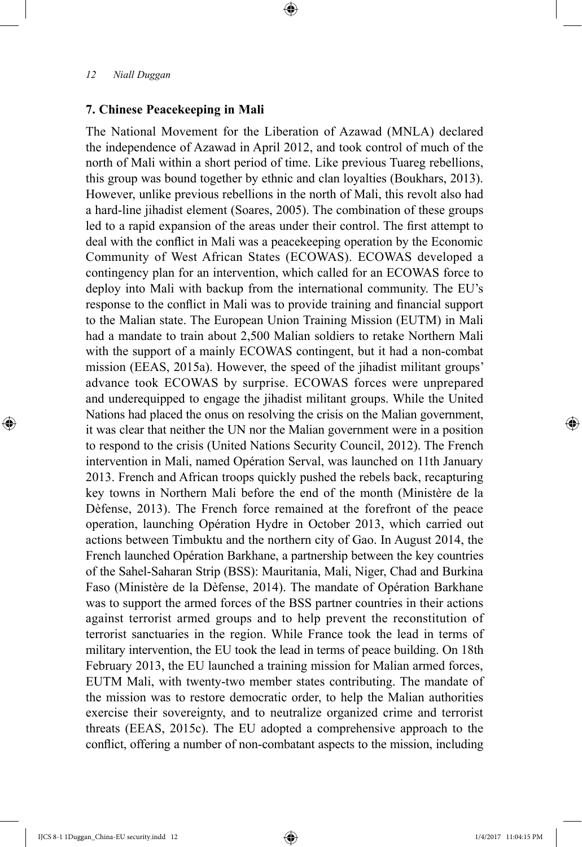## **7. Chinese Peacekeeping in Mali**

The National Movement for the Liberation of Azawad (MNLA) declared the independence of Azawad in April 2012, and took control of much of the north of Mali within a short period of time. Like previous Tuareg rebellions, this group was bound together by ethnic and clan loyalties (Boukhars, 2013). However, unlike previous rebellions in the north of Mali, this revolt also had a hard-line jihadist element (Soares, 2005). The combination of these groups led to a rapid expansion of the areas under their control. The first attempt to deal with the conflict in Mali was a peacekeeping operation by the Economic Community of West African States (ECOWAS). ECOWAS developed a contingency plan for an intervention, which called for an ECOWAS force to deploy into Mali with backup from the international community. The EU's response to the conflict in Mali was to provide training and financial support to the Malian state. The European Union Training Mission (EUTM) in Mali had a mandate to train about 2,500 Malian soldiers to retake Northern Mali with the support of a mainly ECOWAS contingent, but it had a non-combat mission (EEAS, 2015a). However, the speed of the jihadist militant groups' advance took ECOWAS by surprise. ECOWAS forces were unprepared and underequipped to engage the jihadist militant groups. While the United Nations had placed the onus on resolving the crisis on the Malian government, it was clear that neither the UN nor the Malian government were in a position to respond to the crisis (United Nations Security Council, 2012). The French intervention in Mali, named Opération Serval, was launched on 11th January 2013. French and African troops quickly pushed the rebels back, recapturing key towns in Northern Mali before the end of the month (Ministère de la Dèfense, 2013). The French force remained at the forefront of the peace operation, launching Opération Hydre in October 2013, which carried out actions between Timbuktu and the northern city of Gao. In August 2014, the French launched Opération Barkhane, a partnership between the key countries of the Sahel-Saharan Strip (BSS): Mauritania, Mali, Niger, Chad and Burkina Faso (Ministère de la Dèfense, 2014). The mandate of Opération Barkhane was to support the armed forces of the BSS partner countries in their actions against terrorist armed groups and to help prevent the reconstitution of terrorist sanctuaries in the region. While France took the lead in terms of military intervention, the EU took the lead in terms of peace building. On 18th February 2013, the EU launched a training mission for Malian armed forces, EUTM Mali, with twenty-two member states contributing. The mandate of the mission was to restore democratic order, to help the Malian authorities exercise their sovereignty, and to neutralize organized crime and terrorist threats (EEAS, 2015c). The EU adopted a comprehensive approach to the conflict, offering a number of non-combatant aspects to the mission, including

⊕

⊕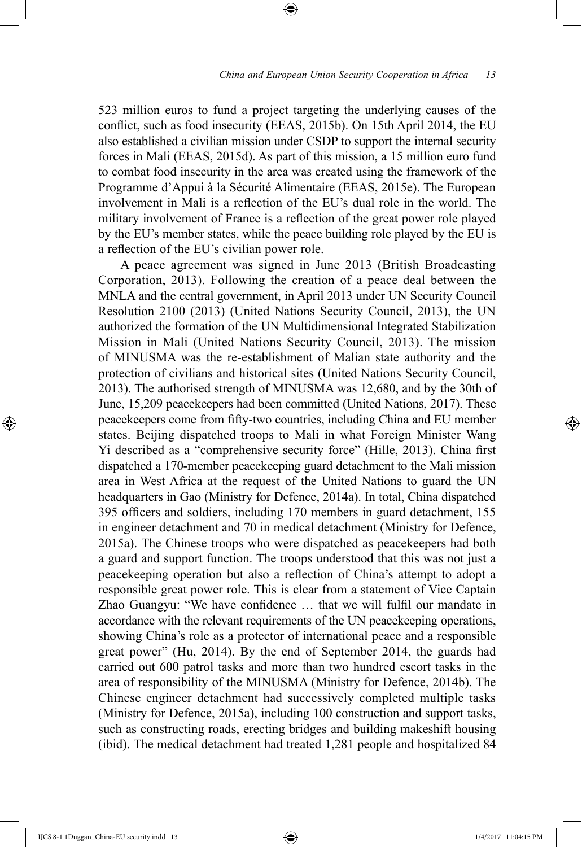523 million euros to fund a project targeting the underlying causes of the conflict, such as food insecurity (EEAS, 2015b). On 15th April 2014, the EU also established a civilian mission under CSDP to support the internal security forces in Mali (EEAS, 2015d). As part of this mission, a 15 million euro fund to combat food insecurity in the area was created using the framework of the Programme d'Appui à la Sécurité Alimentaire (EEAS, 2015e). The European involvement in Mali is a reflection of the EU's dual role in the world. The military involvement of France is a reflection of the great power role played by the EU's member states, while the peace building role played by the EU is a reflection of the EU's civilian power role.

⊕

A peace agreement was signed in June 2013 (British Broadcasting Corporation, 2013). Following the creation of a peace deal between the MNLA and the central government, in April 2013 under UN Security Council Resolution 2100 (2013) (United Nations Security Council, 2013), the UN authorized the formation of the UN Multidimensional Integrated Stabilization Mission in Mali (United Nations Security Council, 2013). The mission of MINUSMA was the re-establishment of Malian state authority and the protection of civilians and historical sites (United Nations Security Council, 2013). The authorised strength of MINUSMA was 12,680, and by the 30th of June, 15,209 peacekeepers had been committed (United Nations, 2017). These peacekeepers come from fifty-two countries, including China and EU member states. Beijing dispatched troops to Mali in what Foreign Minister Wang Yi described as a "comprehensive security force" (Hille, 2013). China first dispatched a 170-member peacekeeping guard detachment to the Mali mission area in West Africa at the request of the United Nations to guard the UN headquarters in Gao (Ministry for Defence, 2014a). In total, China dispatched 395 officers and soldiers, including 170 members in guard detachment, 155 in engineer detachment and 70 in medical detachment (Ministry for Defence, 2015a). The Chinese troops who were dispatched as peacekeepers had both a guard and support function. The troops understood that this was not just a peacekeeping operation but also a reflection of China's attempt to adopt a responsible great power role. This is clear from a statement of Vice Captain Zhao Guangyu: "We have confidence … that we will fulfil our mandate in accordance with the relevant requirements of the UN peacekeeping operations, showing China's role as a protector of international peace and a responsible great power" (Hu, 2014). By the end of September 2014, the guards had carried out 600 patrol tasks and more than two hundred escort tasks in the area of responsibility of the MINUSMA (Ministry for Defence, 2014b). The Chinese engineer detachment had successively completed multiple tasks (Ministry for Defence, 2015a), including 100 construction and support tasks, such as constructing roads, erecting bridges and building makeshift housing (ibid). The medical detachment had treated 1,281 people and hospitalized 84

⊕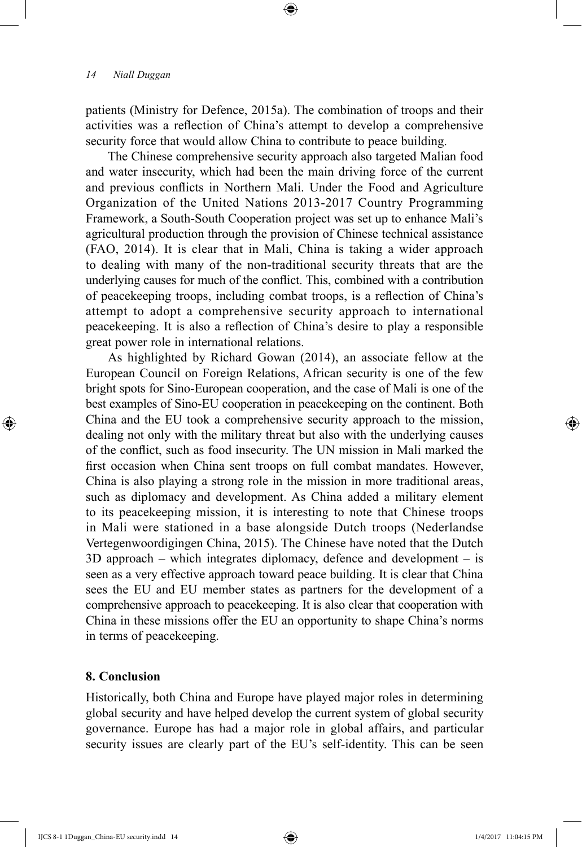patients (Ministry for Defence, 2015a). The combination of troops and their activities was a reflection of China's attempt to develop a comprehensive security force that would allow China to contribute to peace building.

⊕

The Chinese comprehensive security approach also targeted Malian food and water insecurity, which had been the main driving force of the current and previous conflicts in Northern Mali. Under the Food and Agriculture Organization of the United Nations 2013-2017 Country Programming Framework, a South-South Cooperation project was set up to enhance Mali's agricultural production through the provision of Chinese technical assistance (FAO, 2014). It is clear that in Mali, China is taking a wider approach to dealing with many of the non-traditional security threats that are the underlying causes for much of the conflict. This, combined with a contribution of peacekeeping troops, including combat troops, is a reflection of China's attempt to adopt a comprehensive security approach to international peacekeeping. It is also a reflection of China's desire to play a responsible great power role in international relations.

As highlighted by Richard Gowan (2014), an associate fellow at the European Council on Foreign Relations, African security is one of the few bright spots for Sino-European cooperation, and the case of Mali is one of the best examples of Sino-EU cooperation in peacekeeping on the continent. Both China and the EU took a comprehensive security approach to the mission, dealing not only with the military threat but also with the underlying causes of the conflict, such as food insecurity. The UN mission in Mali marked the first occasion when China sent troops on full combat mandates. However, China is also playing a strong role in the mission in more traditional areas, such as diplomacy and development. As China added a military element to its peacekeeping mission, it is interesting to note that Chinese troops in Mali were stationed in a base alongside Dutch troops (Nederlandse Vertegenwoordigingen China, 2015). The Chinese have noted that the Dutch 3D approach – which integrates diplomacy, defence and development – is seen as a very effective approach toward peace building. It is clear that China sees the EU and EU member states as partners for the development of a comprehensive approach to peacekeeping. It is also clear that cooperation with China in these missions offer the EU an opportunity to shape China's norms in terms of peacekeeping.

## **8. Conclusion**

⊕

Historically, both China and Europe have played major roles in determining global security and have helped develop the current system of global security governance. Europe has had a major role in global affairs, and particular security issues are clearly part of the EU's self-identity. This can be seen ↔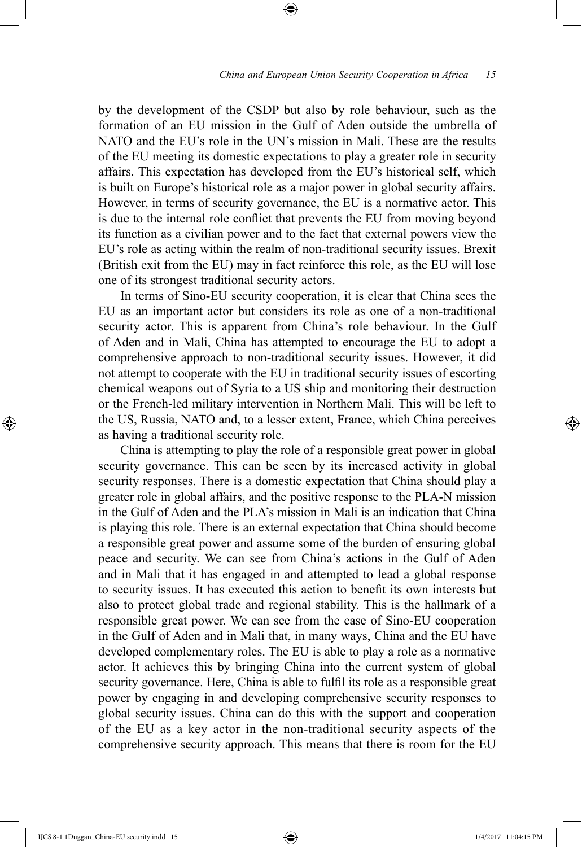by the development of the CSDP but also by role behaviour, such as the formation of an EU mission in the Gulf of Aden outside the umbrella of NATO and the EU's role in the UN's mission in Mali. These are the results of the EU meeting its domestic expectations to play a greater role in security affairs. This expectation has developed from the EU's historical self, which is built on Europe's historical role as a major power in global security affairs. However, in terms of security governance, the EU is a normative actor. This is due to the internal role conflict that prevents the EU from moving beyond its function as a civilian power and to the fact that external powers view the EU's role as acting within the realm of non-traditional security issues. Brexit (British exit from the EU) may in fact reinforce this role, as the EU will lose one of its strongest traditional security actors.

⊕

In terms of Sino-EU security cooperation, it is clear that China sees the EU as an important actor but considers its role as one of a non-traditional security actor. This is apparent from China's role behaviour. In the Gulf of Aden and in Mali, China has attempted to encourage the EU to adopt a comprehensive approach to non-traditional security issues. However, it did not attempt to cooperate with the EU in traditional security issues of escorting chemical weapons out of Syria to a US ship and monitoring their destruction or the French-led military intervention in Northern Mali. This will be left to the US, Russia, NATO and, to a lesser extent, France, which China perceives as having a traditional security role.

China is attempting to play the role of a responsible great power in global security governance. This can be seen by its increased activity in global security responses. There is a domestic expectation that China should play a greater role in global affairs, and the positive response to the PLA-N mission in the Gulf of Aden and the PLA's mission in Mali is an indication that China is playing this role. There is an external expectation that China should become a responsible great power and assume some of the burden of ensuring global peace and security. We can see from China's actions in the Gulf of Aden and in Mali that it has engaged in and attempted to lead a global response to security issues. It has executed this action to benefit its own interests but also to protect global trade and regional stability. This is the hallmark of a responsible great power. We can see from the case of Sino-EU cooperation in the Gulf of Aden and in Mali that, in many ways, China and the EU have developed complementary roles. The EU is able to play a role as a normative actor. It achieves this by bringing China into the current system of global security governance. Here, China is able to fulfil its role as a responsible great power by engaging in and developing comprehensive security responses to global security issues. China can do this with the support and cooperation of the EU as a key actor in the non-traditional security aspects of the comprehensive security approach. This means that there is room for the EU

⊕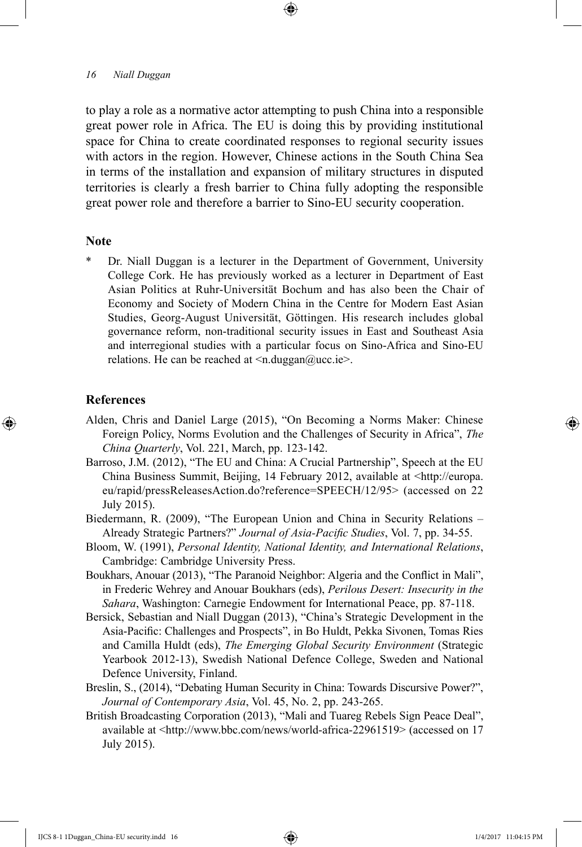to play a role as a normative actor attempting to push China into a responsible great power role in Africa. The EU is doing this by providing institutional space for China to create coordinated responses to regional security issues with actors in the region. However, Chinese actions in the South China Sea in terms of the installation and expansion of military structures in disputed territories is clearly a fresh barrier to China fully adopting the responsible great power role and therefore a barrier to Sino-EU security cooperation.

⊕

## **Note**

Dr. Niall Duggan is a lecturer in the Department of Government, University College Cork. He has previously worked as a lecturer in Department of East Asian Politics at Ruhr-Universität Bochum and has also been the Chair of Economy and Society of Modern China in the Centre for Modern East Asian Studies, Georg-August Universität, Göttingen. His research includes global governance reform, non-traditional security issues in East and Southeast Asia and interregional studies with a particular focus on Sino-Africa and Sino-EU relations. He can be reached at  $\leq n$ .duggan@ucc.ie>.

#### **References**

⊕

- Alden, Chris and Daniel Large (2015), "On Becoming a Norms Maker: Chinese Foreign Policy, Norms Evolution and the Challenges of Security in Africa", *The China Quarterly*, Vol. 221, March, pp. 123-142.
- Barroso, J.M. (2012), "The EU and China: A Crucial Partnership", Speech at the EU China Business Summit, Beijing, 14 February 2012, available at <http://europa. eu/rapid/pressReleasesAction.do?reference=SPEECH/12/95> (accessed on 22 July 2015).
- Biedermann, R. (2009), "The European Union and China in Security Relations Already Strategic Partners?" *Journal of Asia-Pacific Studies*, Vol. 7, pp. 34-55.
- Bloom, W. (1991), *Personal Identity, National Identity, and International Relations*, Cambridge: Cambridge University Press.
- Boukhars, Anouar (2013), "The Paranoid Neighbor: Algeria and the Conflict in Mali", in Frederic Wehrey and Anouar Boukhars (eds), *Perilous Desert: Insecurity in the Sahara*, Washington: Carnegie Endowment for International Peace, pp. 87-118.
- Bersick, Sebastian and Niall Duggan (2013), "China's Strategic Development in the Asia-Pacific: Challenges and Prospects", in Bo Huldt, Pekka Sivonen, Tomas Ries and Camilla Huldt (eds), *The Emerging Global Security Environment* (Strategic Yearbook 2012-13), Swedish National Defence College, Sweden and National Defence University, Finland.
- Breslin, S., (2014), "Debating Human Security in China: Towards Discursive Power?", *Journal of Contemporary Asia*, Vol. 45, No. 2, pp. 243-265.
- British Broadcasting Corporation (2013), "Mali and Tuareg Rebels Sign Peace Deal", available at <http://www.bbc.com/news/world-africa-22961519> (accessed on 17 July 2015).

IJCS 8-1 1Duggan\_China-EU security.indd 16 1/4/2017 11:04:15 PM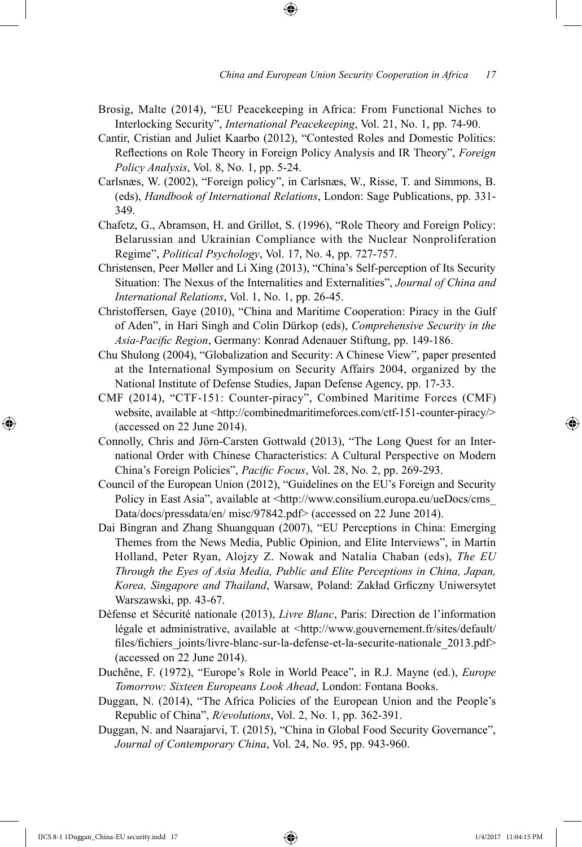- Brosig, Malte (2014), "EU Peacekeeping in Africa: From Functional Niches to Interlocking Security", *International Peacekeeping*, Vol. 21, No. 1, pp. 74-90.
- Cantir, Cristian and Juliet Kaarbo (2012), "Contested Roles and Domestic Politics: Reflections on Role Theory in Foreign Policy Analysis and IR Theory", *Foreign Policy Analysis*, Vol. 8, No. 1, pp. 5-24.
- Carlsnæs, W. (2002), "Foreign policy", in Carlsnæs, W., Risse, T. and Simmons, B. (eds), *Handbook of International Relations*, London: Sage Publications, pp. 331- 349.
- Chafetz, G., Abramson, H. and Grillot, S. (1996), "Role Theory and Foreign Policy: Belarussian and Ukrainian Compliance with the Nuclear Nonproliferation Regime", *Political Psychology*, Vol. 17, No. 4, pp. 727-757.
- Christensen, Peer Møller and Li Xing (2013), "China's Self-perception of Its Security Situation: The Nexus of the Internalities and Externalities", *Journal of China and International Relations*, Vol. 1, No. 1, pp. 26-45.
- Christoffersen, Gaye (2010), "China and Maritime Cooperation: Piracy in the Gulf of Aden", in Hari Singh and Colin Dürkop (eds), *Comprehensive Security in the Asia-Pacific Region*, Germany: Konrad Adenauer Stiftung, pp. 149-186.
- Chu Shulong (2004), "Globalization and Security: A Chinese View", paper presented at the International Symposium on Security Affairs 2004, organized by the National Institute of Defense Studies, Japan Defense Agency, pp. 17-33.
- CMF (2014), "CTF-151: Counter-piracy", Combined Maritime Forces (CMF) website, available at <http://combinedmaritimeforces.com/ctf-151-counter-piracy/> (accessed on 22 June 2014).
- Connolly, Chris and Jörn-Carsten Gottwald (2013), "The Long Quest for an International Order with Chinese Characteristics: A Cultural Perspective on Modern China's Foreign Policies", *Pacific Focus*, Vol. 28, No. 2, pp. 269-293.
- Council of the European Union (2012), "Guidelines on the EU's Foreign and Security Policy in East Asia", available at <http://www.consilium.europa.eu/ueDocs/cms Data/docs/pressdata/en/ misc/97842.pdf> (accessed on 22 June 2014).
- Dai Bingran and Zhang Shuangquan (2007), "EU Perceptions in China: Emerging Themes from the News Media, Public Opinion, and Elite Interviews", in Martin Holland, Peter Ryan, Alojzy Z. Nowak and Natalia Chaban (eds), *The EU Through the Eyes of Asia Media, Public and Elite Perceptions in China, Japan, Korea, Singapore and Thailand*, Warsaw, Poland: Zakład Grficzny Uniwersytet Warszawski, pp. 43-67.
- Défense et Sécurité nationale (2013), *Livre Blanc*, Paris: Direction de l'information légale et administrative, available at <http://www.gouvernement.fr/sites/default/ files/fichiers\_joints/livre-blanc-sur-la-defense-et-la-securite-nationale\_2013.pdf> (accessed on 22 June 2014).
- Duchêne, F. (1972), "Europe's Role in World Peace", in R.J. Mayne (ed.), *Europe Tomorrow: Sixteen Europeans Look Ahead*, London: Fontana Books.
- Duggan, N. (2014), "The Africa Policies of the European Union and the People's Republic of China", *R/evolutions*, Vol. 2, No. 1, pp. 362-391.
- Duggan, N. and Naarajarvi, T. (2015), "China in Global Food Security Governance", *Journal of Contemporary China*, Vol. 24, No. 95, pp. 943-960.

IJCS 8-1 1Duggan\_China-EU security.indd 17 1/4/2017 11:04:15 PM

⊕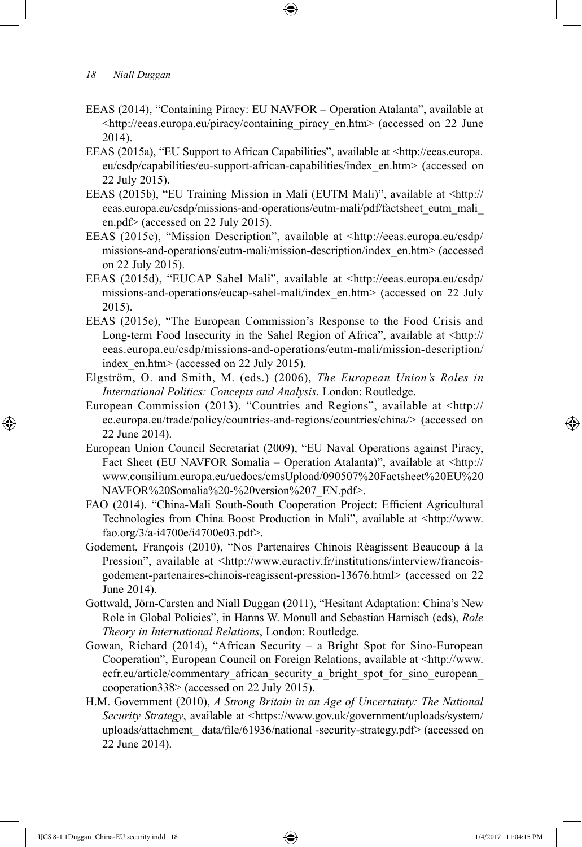- EEAS (2014), "Containing Piracy: EU NAVFOR Operation Atalanta", available at <http://eeas.europa.eu/piracy/containing\_piracy\_en.htm> (accessed on 22 June 2014).
- EEAS (2015a), "EU Support to African Capabilities", available at <http://eeas.europa. eu/csdp/capabilities/eu-support-african-capabilities/index\_en.htm> (accessed on 22 July 2015).
- EEAS (2015b), "EU Training Mission in Mali (EUTM Mali)", available at <http:// eeas.europa.eu/csdp/missions-and-operations/eutm-mali/pdf/factsheet\_eutm\_mali\_ en.pdf> (accessed on 22 July 2015).
- EEAS (2015c), "Mission Description", available at <http://eeas.europa.eu/csdp/ missions-and-operations/eutm-mali/mission-description/index\_en.htm> (accessed on 22 July 2015).
- EEAS (2015d), "EUCAP Sahel Mali", available at <http://eeas.europa.eu/csdp/ missions-and-operations/eucap-sahel-mali/index\_en.htm> (accessed on 22 July 2015).
- EEAS (2015e), "The European Commission's Response to the Food Crisis and Long-term Food Insecurity in the Sahel Region of Africa", available at <http:// eeas.europa.eu/csdp/missions-and-operations/eutm-mali/mission-description/ index en.htm> (accessed on 22 July 2015).
- Elgström, O. and Smith, M. (eds.) (2006), *The European Union's Roles in International Politics: Concepts and Analysis*. London: Routledge.
- European Commission (2013), "Countries and Regions", available at <http:// ec.europa.eu/trade/policy/countries-and-regions/countries/china/> (accessed on 22 June 2014).
- European Union Council Secretariat (2009), "EU Naval Operations against Piracy, Fact Sheet (EU NAVFOR Somalia – Operation Atalanta)", available at <http:// www.consilium.europa.eu/uedocs/cmsUpload/090507%20Factsheet%20EU%20 NAVFOR%20Somalia%20-%20version%207\_EN.pdf>.
- FAO (2014). "China-Mali South-South Cooperation Project: Efficient Agricultural Technologies from China Boost Production in Mali", available at <http://www. fao.org/3/a-i4700e/i4700e03.pdf>.
- Godement, François (2010), "Nos Partenaires Chinois Réagissent Beaucoup á la Pression", available at <http://www.euractiv.fr/institutions/interview/francoisgodement-partenaires-chinois-reagissent-pression-13676.html> (accessed on 22 June 2014).
- Gottwald, Jörn-Carsten and Niall Duggan (2011), "Hesitant Adaptation: China's New Role in Global Policies", in Hanns W. Monull and Sebastian Harnisch (eds), *Role Theory in International Relations*, London: Routledge.
- Gowan, Richard (2014), "African Security a Bright Spot for Sino-European Cooperation", European Council on Foreign Relations, available at <http://www. ecfr.eu/article/commentary\_african\_security\_a\_bright\_spot\_for\_sino\_european cooperation338> (accessed on 22 July 2015).
- H.M. Government (2010), *A Strong Britain in an Age of Uncertainty: The National Security Strategy*, available at <https://www.gov.uk/government/uploads/system/ uploads/attachment\_ data/file/61936/national -security-strategy.pdf> (accessed on 22 June 2014).

IJCS 8-1 1Duggan\_China-EU security.indd 18 1/4/2017 11:04:15 PM

⊕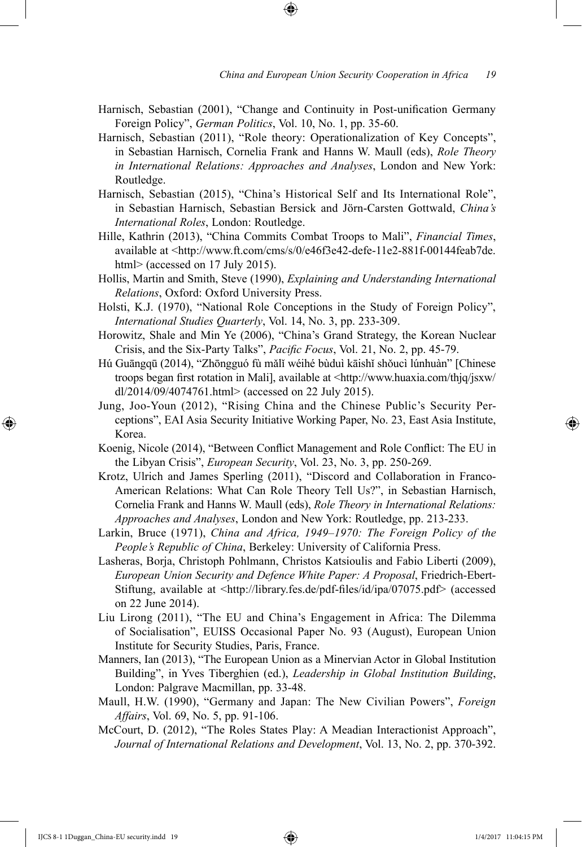- Harnisch, Sebastian (2001), "Change and Continuity in Post-unification Germany Foreign Policy", *German Politics*, Vol. 10, No. 1, pp. 35-60.
- Harnisch, Sebastian (2011), "Role theory: Operationalization of Key Concepts", in Sebastian Harnisch, Cornelia Frank and Hanns W. Maull (eds), *Role Theory in International Relations: Approaches and Analyses*, London and New York: Routledge.
- Harnisch, Sebastian (2015), "China's Historical Self and Its International Role", in Sebastian Harnisch, Sebastian Bersick and Jörn-Carsten Gottwald, *China's International Roles*, London: Routledge.
- Hille, Kathrin (2013), "China Commits Combat Troops to Mali", *Financial Times*, available at <http://www.ft.com/cms/s/0/e46f3e42-defe-11e2-881f-00144feab7de. html> (accessed on 17 July 2015).
- Hollis, Martin and Smith, Steve (1990), *Explaining and Understanding International Relations*, Oxford: Oxford University Press.
- Holsti, K.J. (1970), "National Role Conceptions in the Study of Foreign Policy", *International Studies Quarterly*, Vol. 14, No. 3, pp. 233-309.
- Horowitz, Shale and Min Ye (2006), "China's Grand Strategy, the Korean Nuclear Crisis, and the Six-Party Talks", *Pacific Focus*, Vol. 21, No. 2, pp. 45-79.
- Hú Guāngqū (2014), "Zhōngguó fù mǎlǐ wéihé bùduì kāishǐ shǒucì lúnhuàn" [Chinese troops began first rotation in Mali], available at <http://www.huaxia.com/thjq/jsxw/ dl/2014/09/4074761.html> (accessed on 22 July 2015).
- Jung, Joo-Youn (2012), "Rising China and the Chinese Public's Security Perceptions", EAI Asia Security Initiative Working Paper, No. 23, East Asia Institute, Korea.
- Koenig, Nicole (2014), "Between Conflict Management and Role Conflict: The EU in the Libyan Crisis", *European Security*, Vol. 23, No. 3, pp. 250-269.
- Krotz, Ulrich and James Sperling (2011), "Discord and Collaboration in Franco-American Relations: What Can Role Theory Tell Us?", in Sebastian Harnisch, Cornelia Frank and Hanns W. Maull (eds), *Role Theory in International Relations: Approaches and Analyses*, London and New York: Routledge, pp. 213-233.
- Larkin, Bruce (1971), *China and Africa, 1949–1970: The Foreign Policy of the People's Republic of China*, Berkeley: University of California Press.
- Lasheras, Borja, Christoph Pohlmann, Christos Katsioulis and Fabio Liberti (2009), *European Union Security and Defence White Paper: A Proposal*, Friedrich-Ebert-Stiftung, available at <http://library.fes.de/pdf-files/id/ipa/07075.pdf> (accessed on 22 June 2014).
- Liu Lirong (2011), "The EU and China's Engagement in Africa: The Dilemma of Socialisation", EUISS Occasional Paper No. 93 (August), European Union Institute for Security Studies, Paris, France.
- Manners, Ian (2013), "The European Union as a Minervian Actor in Global Institution Building", in Yves Tiberghien (ed.), *Leadership in Global Institution Building*, London: Palgrave Macmillan, pp. 33-48.
- Maull, H.W. (1990), "Germany and Japan: The New Civilian Powers", *Foreign Affairs*, Vol. 69, No. 5, pp. 91-106.
- McCourt, D. (2012), "The Roles States Play: A Meadian Interactionist Approach", *Journal of International Relations and Development*, Vol. 13, No. 2, pp. 370-392.

IJCS 8-1 1Duggan\_China-EU security.indd 19 1/4/2017 11:04:15 PM

⊕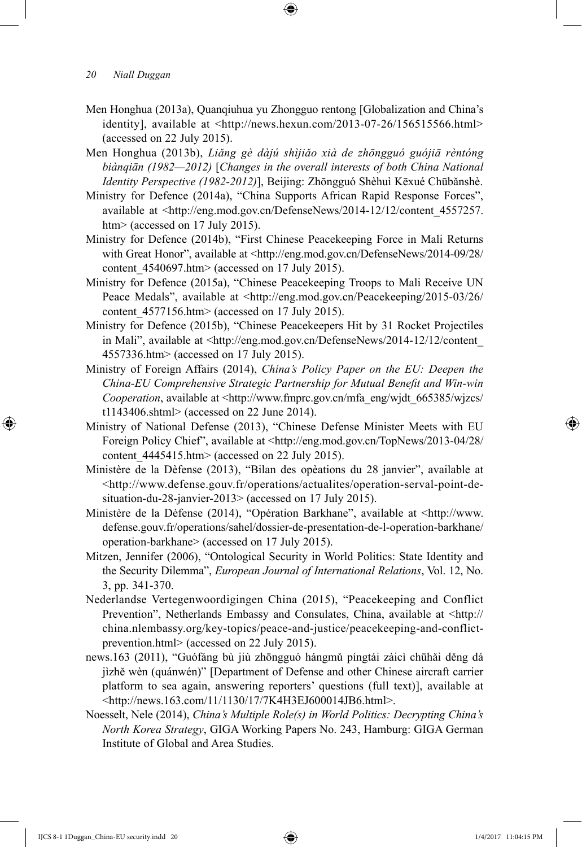- Men Honghua (2013a), Quanqiuhua yu Zhongguo rentong [Globalization and China's identity], available at <http://news.hexun.com/2013-07-26/156515566.html> (accessed on 22 July 2015).
- Men Honghua (2013b), *Liǎng gè dàjú shìjiǎo xià de zhōngguó guójiā rèntóng biànqiān (1982—2012)* [*Changes in the overall interests of both China National Identity Perspective (1982-2012)*], Beijing: Zhōngguó Shèhuì Kēxué Chūbǎnshè.
- Ministry for Defence (2014a), "China Supports African Rapid Response Forces", available at <http://eng.mod.gov.cn/DefenseNews/2014-12/12/content\_4557257. htm> (accessed on 17 July 2015).
- Ministry for Defence (2014b), "First Chinese Peacekeeping Force in Mali Returns with Great Honor", available at <http://eng.mod.gov.cn/DefenseNews/2014-09/28/ content  $4540697.$ htm $>$  (accessed on 17 July 2015).
- Ministry for Defence (2015a), "Chinese Peacekeeping Troops to Mali Receive UN Peace Medals", available at <http://eng.mod.gov.cn/Peacekeeping/2015-03/26/ content 4577156.htm> (accessed on 17 July 2015).
- Ministry for Defence (2015b), "Chinese Peacekeepers Hit by 31 Rocket Projectiles in Mali", available at <http://eng.mod.gov.cn/DefenseNews/2014-12/12/content\_ 4557336.htm> (accessed on 17 July 2015).
- Ministry of Foreign Affairs (2014), *China's Policy Paper on the EU: Deepen the China-EU Comprehensive Strategic Partnership for Mutual Benefit and Win-win Cooperation*, available at <http://www.fmprc.gov.cn/mfa\_eng/wjdt\_665385/wjzcs/ t1143406.shtml> (accessed on 22 June 2014).
- Ministry of National Defense (2013), "Chinese Defense Minister Meets with EU Foreign Policy Chief", available at <http://eng.mod.gov.cn/TopNews/2013-04/28/ content  $4445415.$ htm $>$  (accessed on 22 July 2015).
- Ministère de la Dèfense (2013), "Bilan des opèations du 28 janvier", available at <http://www.defense.gouv.fr/operations/actualites/operation-serval-point-desituation-du-28-janvier-2013> (accessed on 17 July 2015).
- Ministère de la Dèfense (2014), "Opération Barkhane", available at <http://www. defense.gouv.fr/operations/sahel/dossier-de-presentation-de-l-operation-barkhane/ operation-barkhane> (accessed on 17 July 2015).
- Mitzen, Jennifer (2006), "Ontological Security in World Politics: State Identity and the Security Dilemma", *European Journal of International Relations*, Vol. 12, No. 3, pp. 341-370.
- Nederlandse Vertegenwoordigingen China (2015), "Peacekeeping and Conflict Prevention", Netherlands Embassy and Consulates, China, available at <http:// china.nlembassy.org/key-topics/peace-and-justice/peacekeeping-and-conflictprevention.html> (accessed on 22 July 2015).
- news.163 (2011), "Guófáng bù jiù zhōngguó hángmǔ píngtái zàicì chūhǎi děng dá jìzhě wèn (quánwén)" [Department of Defense and other Chinese aircraft carrier platform to sea again, answering reporters' questions (full text)], available at <http://news.163.com/11/1130/17/7K4H3EJ600014JB6.html>.
- Noesselt, Nele (2014), *China's Multiple Role(s) in World Politics: Decrypting China's North Korea Strategy*, GIGA Working Papers No. 243, Hamburg: GIGA German Institute of Global and Area Studies.

IJCS 8-1 1Duggan\_China-EU security.indd 20 1/4/2017 11:04:15 PM

⊕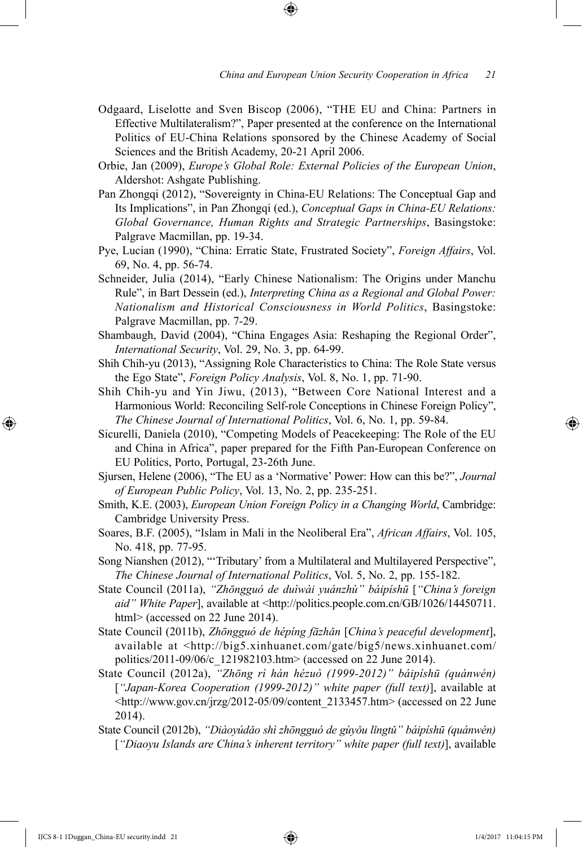- Odgaard, Liselotte and Sven Biscop (2006), "THE EU and China: Partners in Effective Multilateralism?", Paper presented at the conference on the International Politics of EU-China Relations sponsored by the Chinese Academy of Social Sciences and the British Academy, 20-21 April 2006.
- Orbie, Jan (2009), *Europe's Global Role: External Policies of the European Union*, Aldershot: Ashgate Publishing.
- Pan Zhongqi (2012), "Sovereignty in China-EU Relations: The Conceptual Gap and Its Implications", in Pan Zhongqi (ed.), *Conceptual Gaps in China-EU Relations: Global Governance, Human Rights and Strategic Partnerships*, Basingstoke: Palgrave Macmillan, pp. 19-34.
- Pye, Lucian (1990), "China: Erratic State, Frustrated Society", *Foreign Affairs*, Vol. 69, No. 4, pp. 56-74.
- Schneider, Julia (2014), "Early Chinese Nationalism: The Origins under Manchu Rule", in Bart Dessein (ed.), *Interpreting China as a Regional and Global Power: Nationalism and Historical Consciousness in World Politics*, Basingstoke: Palgrave Macmillan, pp. 7-29.
- Shambaugh, David (2004), "China Engages Asia: Reshaping the Regional Order", *International Security*, Vol. 29, No. 3, pp. 64-99.
- Shih Chih-yu (2013), "Assigning Role Characteristics to China: The Role State versus the Ego State", *Foreign Policy Analysis*, Vol. 8, No. 1, pp. 71-90.
- Shih Chih-yu and Yin Jiwu, (2013), "Between Core National Interest and a Harmonious World: Reconciling Self-role Conceptions in Chinese Foreign Policy", *The Chinese Journal of International Politics*, Vol. 6, No. 1, pp. 59-84.
- Sicurelli, Daniela (2010), "Competing Models of Peacekeeping: The Role of the EU and China in Africa", paper prepared for the Fifth Pan-European Conference on EU Politics, Porto, Portugal, 23-26th June.
- Sjursen, Helene (2006), "The EU as a 'Normative' Power: How can this be?", *Journal of European Public Policy*, Vol. 13, No. 2, pp. 235-251.
- Smith, K.E. (2003), *European Union Foreign Policy in a Changing World*, Cambridge: Cambridge University Press.
- Soares, B.F. (2005), "Islam in Mali in the Neoliberal Era", *African Affairs*, Vol. 105, No. 418, pp. 77-95.
- Song Nianshen (2012), "'Tributary' from a Multilateral and Multilayered Perspective", *The Chinese Journal of International Politics*, Vol. 5, No. 2, pp. 155-182.
- State Council (2011a), *"Zhōngguó de duìwài yuánzhù" báipíshū* [*"China's foreign aid" White Paper*], available at <http://politics.people.com.cn/GB/1026/14450711. html> (accessed on 22 June 2014).
- State Council (2011b), *Zhōngguó de hépíng fāzhǎn* [*China's peaceful development*], available at <http://big5.xinhuanet.com/gate/big5/news.xinhuanet.com/ politics/2011-09/06/c\_121982103.htm> (accessed on 22 June 2014).
- State Council (2012a), *"Zhōng rì hán hézuò (1999-2012)" báipíshū (quánwén)*  [*"Japan-Korea Cooperation (1999-2012)" white paper (full text)*], available at <http://www.gov.cn/jrzg/2012-05/09/content\_2133457.htm> (accessed on 22 June 2014).
- State Council (2012b), *"Diàoyúdǎo shì zhōngguó de gùyǒu lǐngtǔ" báipíshū (quánwén)* [*"Diaoyu Islands are China's inherent territory" white paper (full text)*], available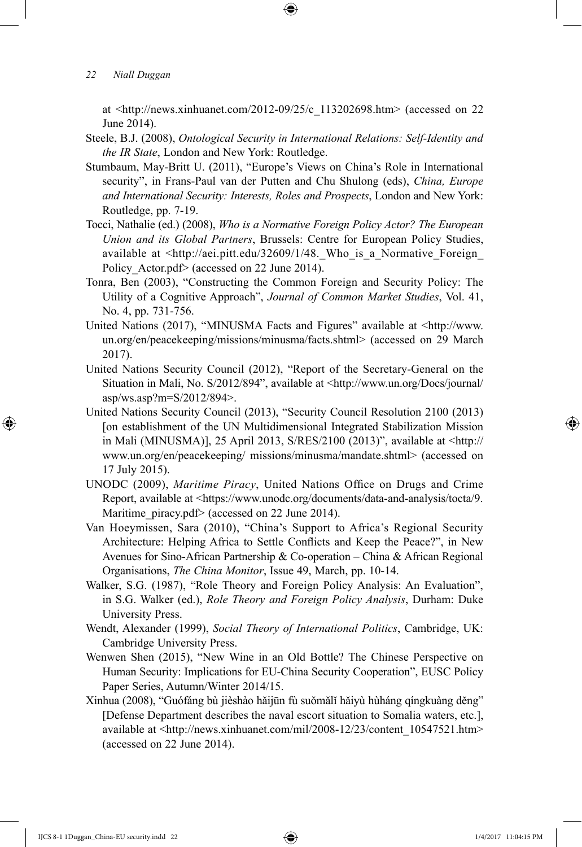at  $\langle$ http://news.xinhuanet.com/2012-09/25/c\_113202698.htm> (accessed on 22) June 2014).

⊕

- Steele, B.J. (2008), *Ontological Security in International Relations: Self-Identity and the IR State*, London and New York: Routledge.
- Stumbaum, May-Britt U. (2011), "Europe's Views on China's Role in International security", in Frans-Paul van der Putten and Chu Shulong (eds), *China, Europe and International Security: Interests, Roles and Prospects*, London and New York: Routledge, pp. 7-19.
- Tocci, Nathalie (ed.) (2008), *Who is a Normative Foreign Policy Actor? The European Union and its Global Partners*, Brussels: Centre for European Policy Studies, available at <http://aei.pitt.edu/32609/1/48.\_Who\_is\_a\_Normative\_Foreign\_ Policy Actor.pdf> (accessed on 22 June 2014).
- Tonra, Ben (2003), "Constructing the Common Foreign and Security Policy: The Utility of a Cognitive Approach", *Journal of Common Market Studies*, Vol. 41, No. 4, pp. 731-756.
- United Nations (2017), "MINUSMA Facts and Figures" available at <http://www. un.org/en/peacekeeping/missions/minusma/facts.shtml> (accessed on 29 March 2017).
- United Nations Security Council (2012), "Report of the Secretary-General on the Situation in Mali, No. S/2012/894", available at <http://www.un.org/Docs/journal/ asp/ws.asp?m=S/2012/894>.
- United Nations Security Council (2013), "Security Council Resolution 2100 (2013) [on establishment of the UN Multidimensional Integrated Stabilization Mission in Mali (MINUSMA)], 25 April 2013, S/RES/2100 (2013)", available at <http:// www.un.org/en/peacekeeping/ missions/minusma/mandate.shtml> (accessed on 17 July 2015).
- UNODC (2009), *Maritime Piracy*, United Nations Office on Drugs and Crime Report, available at <https://www.unodc.org/documents/data-and-analysis/tocta/9. Maritime piracy.pdf> (accessed on 22 June 2014).
- Van Hoeymissen, Sara (2010), "China's Support to Africa's Regional Security Architecture: Helping Africa to Settle Conflicts and Keep the Peace?", in New Avenues for Sino-African Partnership & Co-operation – China & African Regional Organisations, *The China Monitor*, Issue 49, March, pp. 10-14.
- Walker, S.G. (1987), "Role Theory and Foreign Policy Analysis: An Evaluation", in S.G. Walker (ed.), *Role Theory and Foreign Policy Analysis*, Durham: Duke University Press.
- Wendt, Alexander (1999), *Social Theory of International Politics*, Cambridge, UK: Cambridge University Press.
- Wenwen Shen (2015), "New Wine in an Old Bottle? The Chinese Perspective on Human Security: Implications for EU-China Security Cooperation", EUSC Policy Paper Series, Autumn/Winter 2014/15.
- Xinhua (2008), "Guófáng bù jièshào hǎijūn fù suǒmǎlǐ hǎiyù hùháng qíngkuàng děng" [Defense Department describes the naval escort situation to Somalia waters, etc.], available at <http://news.xinhuanet.com/mil/2008-12/23/content\_10547521.htm> (accessed on 22 June 2014).

IJCS 8-1 1Duggan\_China-EU security.indd 22 1/4/2017 11:04:15 PM

⊕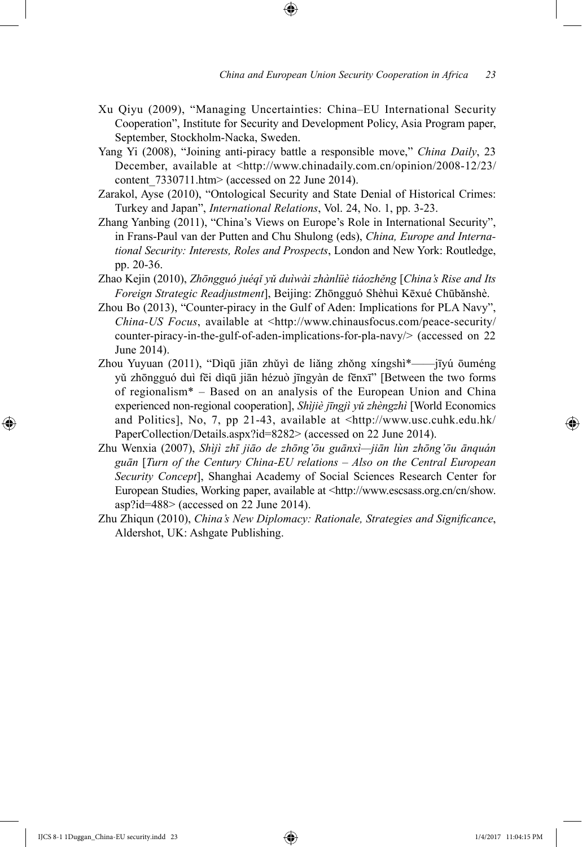- Xu Qiyu (2009), "Managing Uncertainties: China–EU International Security Cooperation", Institute for Security and Development Policy, Asia Program paper, September, Stockholm-Nacka, Sweden.
- Yang Yi (2008), "Joining anti-piracy battle a responsible move," *China Daily*, 23 December, available at <http://www.chinadaily.com.cn/opinion/2008-12/23/ content  $7330711$ .htm> (accessed on 22 June 2014).
- Zarakol, Ayse (2010), "Ontological Security and State Denial of Historical Crimes: Turkey and Japan", *International Relations*, Vol. 24, No. 1, pp. 3-23.
- Zhang Yanbing (2011), "China's Views on Europe's Role in International Security", in Frans-Paul van der Putten and Chu Shulong (eds), *China, Europe and International Security: Interests, Roles and Prospects*, London and New York: Routledge, pp. 20-36.
- Zhao Kejin (2010), *Zhōngguó juéqǐ yǔ duìwài zhànlüè tiáozhěng* [*China's Rise and Its Foreign Strategic Readjustment*], Beijing: Zhōngguó Shèhuì Kēxué Chūbǎnshè.
- Zhou Bo (2013), "Counter-piracy in the Gulf of Aden: Implications for PLA Navy", *China-US Focus*, available at <http://www.chinausfocus.com/peace-security/ counter-piracy-in-the-gulf-of-aden-implications-for-pla-navy/> (accessed on 22 June 2014).
- Zhou Yuyuan (2011), "Dìqū jiān zhǔyì de liǎng zhǒng xíngshì\*——jīyú ōuméng yǔ zhōngguó duì fēi dìqū jiān hézuò jīngyàn de fēnxī" [Between the two forms of regionalism\* – Based on an analysis of the European Union and China experienced non-regional cooperation], *Shìjiè jīngjì yǔ zhèngzhì* [World Economics and Politics], No, 7, pp 21-43, available at <http://www.usc.cuhk.edu.hk/ PaperCollection/Details.aspx?id=8282> (accessed on 22 June 2014).
- Zhu Wenxia (2007), *Shìjì zhī jiāo de zhōng'ōu guānxì—jiān lùn zhōng'ōu ānquán guān* [*Turn of the Century China-EU relations – Also on the Central European Security Concept*], Shanghai Academy of Social Sciences Research Center for European Studies, Working paper, available at <http://www.escsass.org.cn/cn/show. asp?id=488> (accessed on 22 June 2014).
- Zhu Zhiqun (2010), *China's New Diplomacy: Rationale, Strategies and Significance*, Aldershot, UK: Ashgate Publishing.